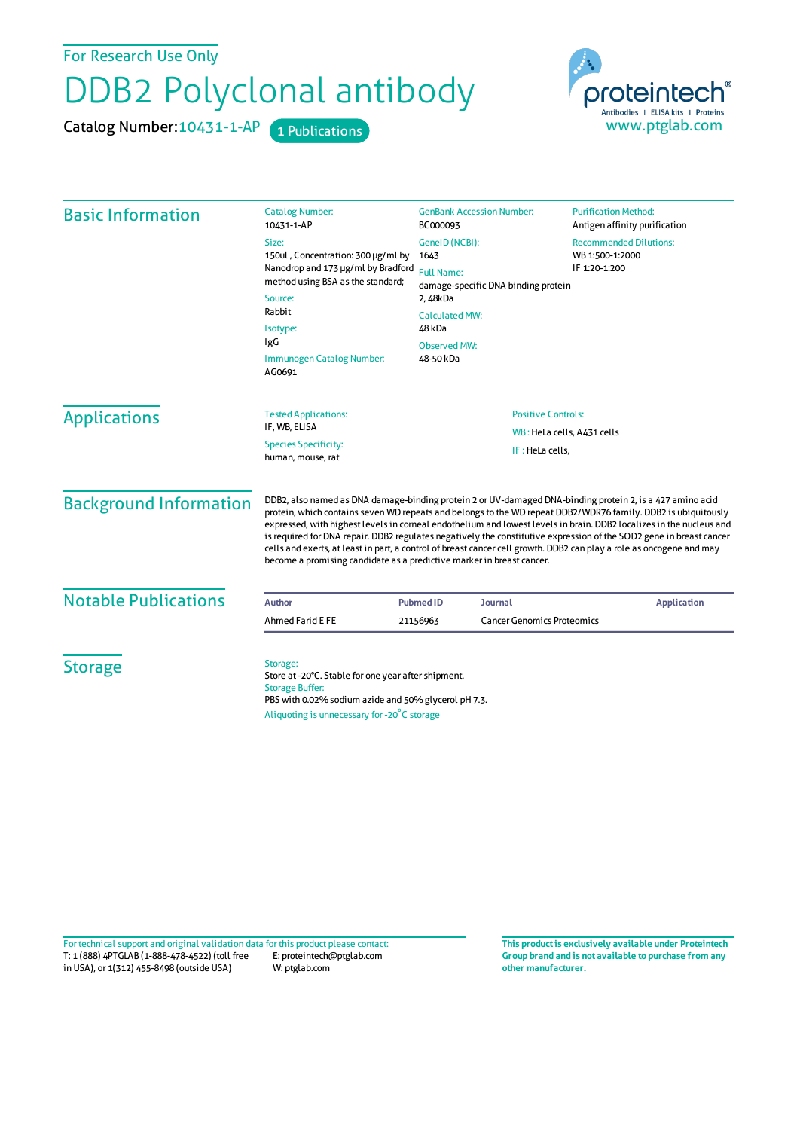For Research Use Only

## DDB2 Polyclonal antibody

Catalog Number: 10431-1-AP 1 Publications



| <b>Basic Information</b>    | <b>Catalog Number:</b>                                                                                                                                                                           | <b>GenBank Accession Number:</b>                                                   | <b>Purification Method:</b>                                                                                                                                                                                                                                                                                                                                                                                                                                                                                                                                                                                                                                               |                                  |  |                            |                     |
|-----------------------------|--------------------------------------------------------------------------------------------------------------------------------------------------------------------------------------------------|------------------------------------------------------------------------------------|---------------------------------------------------------------------------------------------------------------------------------------------------------------------------------------------------------------------------------------------------------------------------------------------------------------------------------------------------------------------------------------------------------------------------------------------------------------------------------------------------------------------------------------------------------------------------------------------------------------------------------------------------------------------------|----------------------------------|--|----------------------------|---------------------|
|                             | 10431-1-AP                                                                                                                                                                                       | BC000093                                                                           | Antigen affinity purification                                                                                                                                                                                                                                                                                                                                                                                                                                                                                                                                                                                                                                             |                                  |  |                            |                     |
|                             | Size:                                                                                                                                                                                            | GenelD (NCBI):                                                                     | <b>Recommended Dilutions:</b>                                                                                                                                                                                                                                                                                                                                                                                                                                                                                                                                                                                                                                             |                                  |  |                            |                     |
|                             | 150ul, Concentration: 300 µg/ml by<br>Nanodrop and 173 µg/ml by Bradford<br>method using BSA as the standard;<br>Source:<br>Rabbit<br>Isotype:<br>IgG<br>Immunogen Catalog Number:<br>AG0691     | 1643                                                                               | WB 1:500-1:2000                                                                                                                                                                                                                                                                                                                                                                                                                                                                                                                                                                                                                                                           |                                  |  |                            |                     |
|                             |                                                                                                                                                                                                  | <b>Full Name:</b>                                                                  | IF 1:20-1:200                                                                                                                                                                                                                                                                                                                                                                                                                                                                                                                                                                                                                                                             |                                  |  |                            |                     |
|                             |                                                                                                                                                                                                  | damage-specific DNA binding protein<br>2, 48kDa<br><b>Calculated MW:</b><br>48 kDa |                                                                                                                                                                                                                                                                                                                                                                                                                                                                                                                                                                                                                                                                           |                                  |  |                            |                     |
|                             |                                                                                                                                                                                                  |                                                                                    |                                                                                                                                                                                                                                                                                                                                                                                                                                                                                                                                                                                                                                                                           | <b>Observed MW:</b><br>48-50 kDa |  |                            |                     |
|                             |                                                                                                                                                                                                  |                                                                                    |                                                                                                                                                                                                                                                                                                                                                                                                                                                                                                                                                                                                                                                                           |                                  |  |                            | <b>Applications</b> |
|                             |                                                                                                                                                                                                  |                                                                                    |                                                                                                                                                                                                                                                                                                                                                                                                                                                                                                                                                                                                                                                                           | IF, WB, ELISA                    |  | WB: HeLa cells, A431 cells |                     |
|                             |                                                                                                                                                                                                  | <b>Species Specificity:</b><br>human, mouse, rat                                   | IF: HeLa cells,                                                                                                                                                                                                                                                                                                                                                                                                                                                                                                                                                                                                                                                           |                                  |  |                            |                     |
|                             |                                                                                                                                                                                                  | <b>Background Information</b>                                                      | DDB2, also named as DNA damage-binding protein 2 or UV-damaged DNA-binding protein 2, is a 427 amino acid<br>protein, which contains seven WD repeats and belongs to the WD repeat DDB2/WDR76 family. DDB2 is ubiquitously<br>expressed, with highest levels in corneal endothelium and lowest levels in brain. DDB2 localizes in the nucleus and<br>is required for DNA repair. DDB2 regulates negatively the constitutive expression of the SOD2 gene in breast cancer<br>cells and exerts, at least in part, a control of breast cancer cell growth. DDB2 can play a role as oncogene and may<br>become a promising candidate as a predictive marker in breast cancer. |                                  |  |                            |                     |
| <b>Notable Publications</b> | <b>Author</b>                                                                                                                                                                                    | <b>Pubmed ID</b><br>Journal                                                        | <b>Application</b>                                                                                                                                                                                                                                                                                                                                                                                                                                                                                                                                                                                                                                                        |                                  |  |                            |                     |
|                             | Ahmed Farid E FE                                                                                                                                                                                 | <b>Cancer Genomics Proteomics</b><br>21156963                                      |                                                                                                                                                                                                                                                                                                                                                                                                                                                                                                                                                                                                                                                                           |                                  |  |                            |                     |
| <b>Storage</b>              | Storage:<br>Store at -20°C. Stable for one year after shipment.<br><b>Storage Buffer:</b><br>PBS with 0.02% sodium azide and 50% glycerol pH 7.3.<br>Aliquoting is unnecessary for -20°C storage |                                                                                    |                                                                                                                                                                                                                                                                                                                                                                                                                                                                                                                                                                                                                                                                           |                                  |  |                            |                     |

T: 1 (888) 4PTGLAB (1-888-478-4522) (toll free in USA), or 1(312) 455-8498 (outside USA) E: proteintech@ptglab.com W: ptglab.com Fortechnical support and original validation data forthis product please contact: **This productis exclusively available under Proteintech**

**Group brand and is not available to purchase from any other manufacturer.**